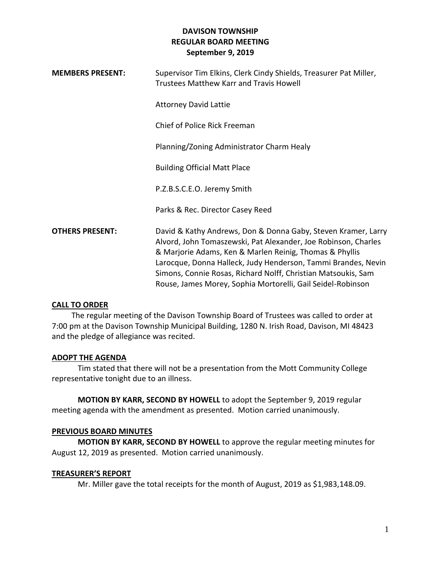| <b>MEMBERS PRESENT:</b> | Supervisor Tim Elkins, Clerk Cindy Shields, Treasurer Pat Miller,<br><b>Trustees Matthew Karr and Travis Howell</b>                                                                                                                                                                                                                                                                         |
|-------------------------|---------------------------------------------------------------------------------------------------------------------------------------------------------------------------------------------------------------------------------------------------------------------------------------------------------------------------------------------------------------------------------------------|
|                         | <b>Attorney David Lattie</b>                                                                                                                                                                                                                                                                                                                                                                |
|                         | Chief of Police Rick Freeman                                                                                                                                                                                                                                                                                                                                                                |
|                         | Planning/Zoning Administrator Charm Healy                                                                                                                                                                                                                                                                                                                                                   |
|                         | <b>Building Official Matt Place</b>                                                                                                                                                                                                                                                                                                                                                         |
|                         | P.Z.B.S.C.E.O. Jeremy Smith                                                                                                                                                                                                                                                                                                                                                                 |
|                         | Parks & Rec. Director Casey Reed                                                                                                                                                                                                                                                                                                                                                            |
| <b>OTHERS PRESENT:</b>  | David & Kathy Andrews, Don & Donna Gaby, Steven Kramer, Larry<br>Alvord, John Tomaszewski, Pat Alexander, Joe Robinson, Charles<br>& Marjorie Adams, Ken & Marlen Reinig, Thomas & Phyllis<br>Larocque, Donna Halleck, Judy Henderson, Tammi Brandes, Nevin<br>Simons, Connie Rosas, Richard Nolff, Christian Matsoukis, Sam<br>Rouse, James Morey, Sophia Mortorelli, Gail Seidel-Robinson |

#### **CALL TO ORDER**

 The regular meeting of the Davison Township Board of Trustees was called to order at 7:00 pm at the Davison Township Municipal Building, 1280 N. Irish Road, Davison, MI 48423 and the pledge of allegiance was recited.

## **ADOPT THE AGENDA**

Tim stated that there will not be a presentation from the Mott Community College representative tonight due to an illness.

**MOTION BY KARR, SECOND BY HOWELL** to adopt the September 9, 2019 regular meeting agenda with the amendment as presented. Motion carried unanimously.

## **PREVIOUS BOARD MINUTES**

**MOTION BY KARR, SECOND BY HOWELL** to approve the regular meeting minutes for August 12, 2019 as presented. Motion carried unanimously.

## **TREASURER'S REPORT**

Mr. Miller gave the total receipts for the month of August, 2019 as \$1,983,148.09.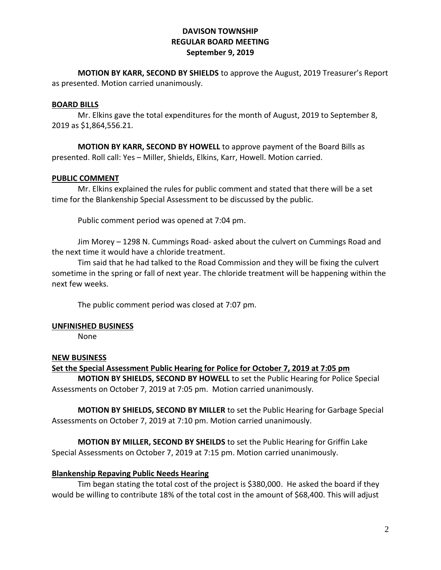**MOTION BY KARR, SECOND BY SHIELDS** to approve the August, 2019 Treasurer's Report as presented. Motion carried unanimously.

### **BOARD BILLS**

Mr. Elkins gave the total expenditures for the month of August, 2019 to September 8, 2019 as \$1,864,556.21.

**MOTION BY KARR, SECOND BY HOWELL** to approve payment of the Board Bills as presented. Roll call: Yes – Miller, Shields, Elkins, Karr, Howell. Motion carried.

### **PUBLIC COMMENT**

Mr. Elkins explained the rules for public comment and stated that there will be a set time for the Blankenship Special Assessment to be discussed by the public.

Public comment period was opened at 7:04 pm.

Jim Morey – 1298 N. Cummings Road- asked about the culvert on Cummings Road and the next time it would have a chloride treatment.

Tim said that he had talked to the Road Commission and they will be fixing the culvert sometime in the spring or fall of next year. The chloride treatment will be happening within the next few weeks.

The public comment period was closed at 7:07 pm.

#### **UNFINISHED BUSINESS**

None

#### **NEW BUSINESS**

#### **Set the Special Assessment Public Hearing for Police for October 7, 2019 at 7:05 pm**

**MOTION BY SHIELDS, SECOND BY HOWELL** to set the Public Hearing for Police Special Assessments on October 7, 2019 at 7:05 pm. Motion carried unanimously.

**MOTION BY SHIELDS, SECOND BY MILLER** to set the Public Hearing for Garbage Special Assessments on October 7, 2019 at 7:10 pm. Motion carried unanimously.

**MOTION BY MILLER, SECOND BY SHEILDS** to set the Public Hearing for Griffin Lake Special Assessments on October 7, 2019 at 7:15 pm. Motion carried unanimously.

#### **Blankenship Repaving Public Needs Hearing**

Tim began stating the total cost of the project is \$380,000. He asked the board if they would be willing to contribute 18% of the total cost in the amount of \$68,400. This will adjust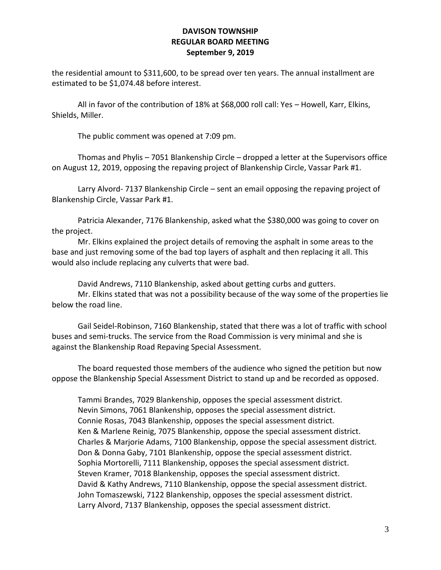the residential amount to \$311,600, to be spread over ten years. The annual installment are estimated to be \$1,074.48 before interest.

All in favor of the contribution of 18% at \$68,000 roll call: Yes – Howell, Karr, Elkins, Shields, Miller.

The public comment was opened at 7:09 pm.

Thomas and Phylis – 7051 Blankenship Circle – dropped a letter at the Supervisors office on August 12, 2019, opposing the repaving project of Blankenship Circle, Vassar Park #1.

Larry Alvord- 7137 Blankenship Circle – sent an email opposing the repaving project of Blankenship Circle, Vassar Park #1.

Patricia Alexander, 7176 Blankenship, asked what the \$380,000 was going to cover on the project.

Mr. Elkins explained the project details of removing the asphalt in some areas to the base and just removing some of the bad top layers of asphalt and then replacing it all. This would also include replacing any culverts that were bad.

David Andrews, 7110 Blankenship, asked about getting curbs and gutters. Mr. Elkins stated that was not a possibility because of the way some of the properties lie below the road line.

Gail Seidel-Robinson, 7160 Blankenship, stated that there was a lot of traffic with school buses and semi-trucks. The service from the Road Commission is very minimal and she is against the Blankenship Road Repaving Special Assessment.

The board requested those members of the audience who signed the petition but now oppose the Blankenship Special Assessment District to stand up and be recorded as opposed.

Tammi Brandes, 7029 Blankenship, opposes the special assessment district. Nevin Simons, 7061 Blankenship, opposes the special assessment district. Connie Rosas, 7043 Blankenship, opposes the special assessment district. Ken & Marlene Reinig, 7075 Blankenship, oppose the special assessment district. Charles & Marjorie Adams, 7100 Blankenship, oppose the special assessment district. Don & Donna Gaby, 7101 Blankenship, oppose the special assessment district. Sophia Mortorelli, 7111 Blankenship, opposes the special assessment district. Steven Kramer, 7018 Blankenship, opposes the special assessment district. David & Kathy Andrews, 7110 Blankenship, oppose the special assessment district. John Tomaszewski, 7122 Blankenship, opposes the special assessment district. Larry Alvord, 7137 Blankenship, opposes the special assessment district.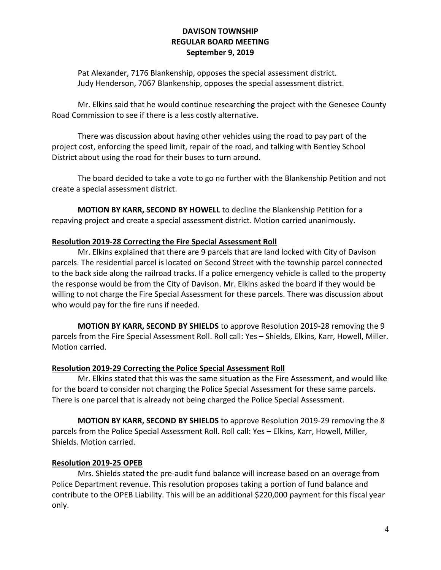Pat Alexander, 7176 Blankenship, opposes the special assessment district. Judy Henderson, 7067 Blankenship, opposes the special assessment district.

Mr. Elkins said that he would continue researching the project with the Genesee County Road Commission to see if there is a less costly alternative.

There was discussion about having other vehicles using the road to pay part of the project cost, enforcing the speed limit, repair of the road, and talking with Bentley School District about using the road for their buses to turn around.

The board decided to take a vote to go no further with the Blankenship Petition and not create a special assessment district.

**MOTION BY KARR, SECOND BY HOWELL** to decline the Blankenship Petition for a repaving project and create a special assessment district. Motion carried unanimously.

# **Resolution 2019-28 Correcting the Fire Special Assessment Roll**

Mr. Elkins explained that there are 9 parcels that are land locked with City of Davison parcels. The residential parcel is located on Second Street with the township parcel connected to the back side along the railroad tracks. If a police emergency vehicle is called to the property the response would be from the City of Davison. Mr. Elkins asked the board if they would be willing to not charge the Fire Special Assessment for these parcels. There was discussion about who would pay for the fire runs if needed.

**MOTION BY KARR, SECOND BY SHIELDS** to approve Resolution 2019-28 removing the 9 parcels from the Fire Special Assessment Roll. Roll call: Yes – Shields, Elkins, Karr, Howell, Miller. Motion carried.

## **Resolution 2019-29 Correcting the Police Special Assessment Roll**

Mr. Elkins stated that this was the same situation as the Fire Assessment, and would like for the board to consider not charging the Police Special Assessment for these same parcels. There is one parcel that is already not being charged the Police Special Assessment.

**MOTION BY KARR, SECOND BY SHIELDS** to approve Resolution 2019-29 removing the 8 parcels from the Police Special Assessment Roll. Roll call: Yes – Elkins, Karr, Howell, Miller, Shields. Motion carried.

# **Resolution 2019-25 OPEB**

Mrs. Shields stated the pre-audit fund balance will increase based on an overage from Police Department revenue. This resolution proposes taking a portion of fund balance and contribute to the OPEB Liability. This will be an additional \$220,000 payment for this fiscal year only.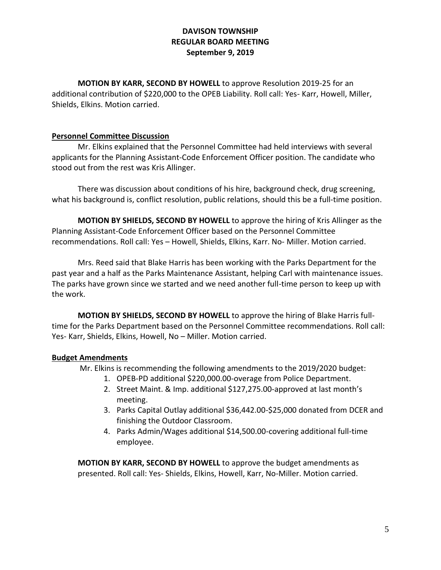**MOTION BY KARR, SECOND BY HOWELL** to approve Resolution 2019-25 for an additional contribution of \$220,000 to the OPEB Liability. Roll call: Yes- Karr, Howell, Miller, Shields, Elkins. Motion carried.

# **Personnel Committee Discussion**

Mr. Elkins explained that the Personnel Committee had held interviews with several applicants for the Planning Assistant-Code Enforcement Officer position. The candidate who stood out from the rest was Kris Allinger.

There was discussion about conditions of his hire, background check, drug screening, what his background is, conflict resolution, public relations, should this be a full-time position.

**MOTION BY SHIELDS, SECOND BY HOWELL** to approve the hiring of Kris Allinger as the Planning Assistant-Code Enforcement Officer based on the Personnel Committee recommendations. Roll call: Yes – Howell, Shields, Elkins, Karr. No- Miller. Motion carried.

Mrs. Reed said that Blake Harris has been working with the Parks Department for the past year and a half as the Parks Maintenance Assistant, helping Carl with maintenance issues. The parks have grown since we started and we need another full-time person to keep up with the work.

**MOTION BY SHIELDS, SECOND BY HOWELL** to approve the hiring of Blake Harris fulltime for the Parks Department based on the Personnel Committee recommendations. Roll call: Yes- Karr, Shields, Elkins, Howell, No – Miller. Motion carried.

# **Budget Amendments**

Mr. Elkins is recommending the following amendments to the 2019/2020 budget:

- 1. OPEB-PD additional \$220,000.00-overage from Police Department.
- 2. Street Maint. & Imp. additional \$127,275.00-approved at last month's meeting.
- 3. Parks Capital Outlay additional \$36,442.00-\$25,000 donated from DCER and finishing the Outdoor Classroom.
- 4. Parks Admin/Wages additional \$14,500.00-covering additional full-time employee.

**MOTION BY KARR, SECOND BY HOWELL** to approve the budget amendments as presented. Roll call: Yes- Shields, Elkins, Howell, Karr, No-Miller. Motion carried.